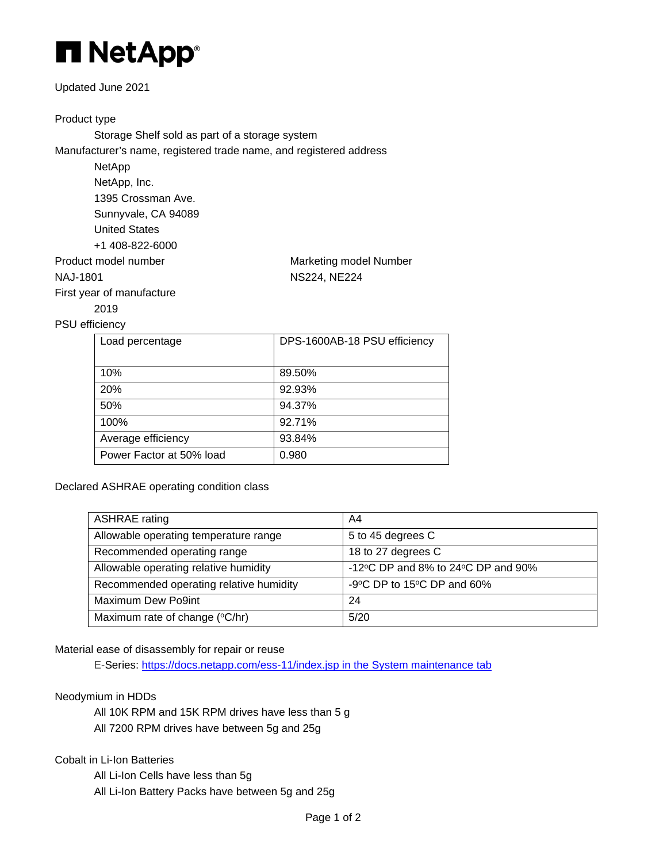

## Updated June 2021

# Product type

Storage Shelf sold as part of a storage system Manufacturer's name, registered trade name, and registered address

> NetApp NetApp, Inc. 1395 Crossman Ave. Sunnyvale, CA 94089 United States +1 408-822-6000

Product model number Marketing model Number

NAJ-1801 NS224, NE224

First year of manufacture 2019

## PSU efficiency

| Load percentage          | DPS-1600AB-18 PSU efficiency |
|--------------------------|------------------------------|
| 10%                      | 89.50%                       |
| <b>20%</b>               | 92.93%                       |
| 50%                      | 94.37%                       |
| 100%                     | 92.71%                       |
| Average efficiency       | 93.84%                       |
| Power Factor at 50% load | 0.980                        |

Declared ASHRAE operating condition class

| <b>ASHRAE</b> rating                    | A4                                                     |
|-----------------------------------------|--------------------------------------------------------|
| Allowable operating temperature range   | 5 to 45 degrees C                                      |
| Recommended operating range             | 18 to 27 degrees C                                     |
| Allowable operating relative humidity   | -12 $\degree$ C DP and 8% to 24 $\degree$ C DP and 90% |
| Recommended operating relative humidity | -9°C DP to 15°C DP and 60%                             |
| Maximum Dew Po9int                      | 24                                                     |
| Maximum rate of change (°C/hr)          | 5/20                                                   |

## Material ease of disassembly for repair or reuse

E-Series:<https://docs.netapp.com/ess-11/index.jsp> in the System maintenance tab

## Neodymium in HDDs

All 10K RPM and 15K RPM drives have less than 5 g All 7200 RPM drives have between 5g and 25g

## Cobalt in Li-Ion Batteries

All Li-Ion Cells have less than 5g All Li-Ion Battery Packs have between 5g and 25g